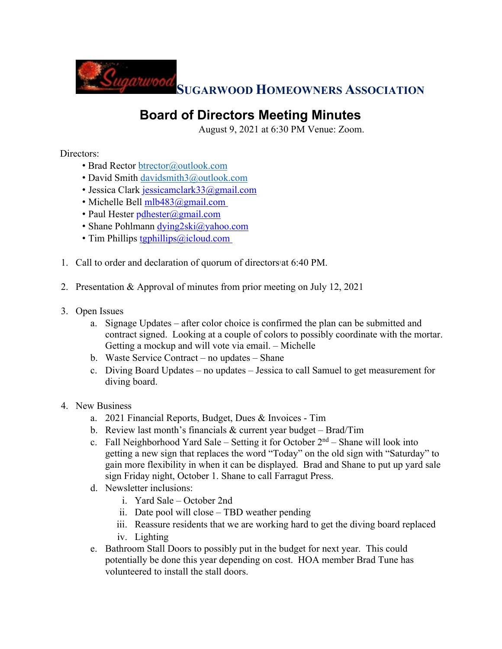

## **Board of Directors Meeting Minutes**

August 9, 2021 at 6:30 PM Venue: Zoom.

Directors:

- Brad Rector btrector@outlook.com
- David Smith davidsmith3@outlook.com
- Jessica Clark jessicamclark33@gmail.com
- Michelle Bell mlb483@gmail.com
- Paul Hester pdhester@gmail.com
- Shane Pohlmann dying2ski@yahoo.com
- Tim Phillips tgphillips@icloud.com
- 1. Call to order and declaration of quorum of directors'at 6:40 PM.
- 2. Presentation & Approval of minutes from prior meeting on July 12, 2021
- 3. Open Issues
	- a. Signage Updates after color choice is confirmed the plan can be submitted and contract signed. Looking at a couple of colors to possibly coordinate with the mortar. Getting a mockup and will vote via email. – Michelle
	- b. Waste Service Contract no updates Shane
	- c. Diving Board Updates no updates Jessica to call Samuel to get measurement for diving board.

## 4. New Business

- a. 2021 Financial Reports, Budget, Dues & Invoices Tim
- b. Review last month's financials & current year budget Brad/Tim
- c. Fall Neighborhood Yard Sale Setting it for October  $2<sup>nd</sup>$  Shane will look into getting a new sign that replaces the word "Today" on the old sign with "Saturday" to gain more flexibility in when it can be displayed. Brad and Shane to put up yard sale sign Friday night, October 1. Shane to call Farragut Press.
- d. Newsletter inclusions:
	- i. Yard Sale October 2nd
	- ii. Date pool will close TBD weather pending
	- iii. Reassure residents that we are working hard to get the diving board replaced
	- iv. Lighting
- e. Bathroom Stall Doors to possibly put in the budget for next year. This could potentially be done this year depending on cost. HOA member Brad Tune has volunteered to install the stall doors.